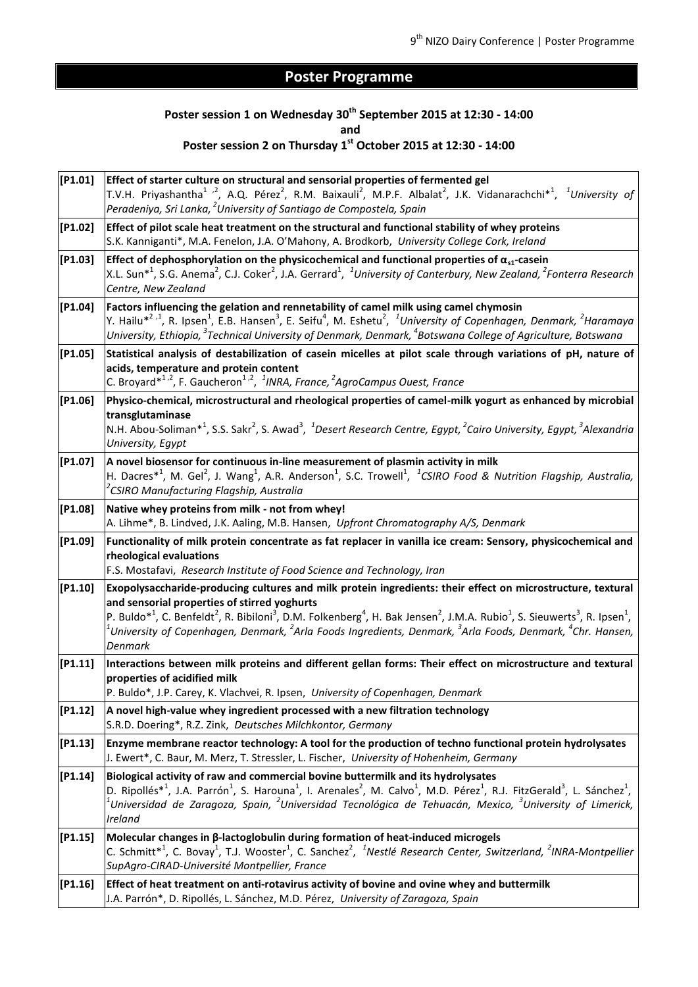## **Poster Programme**

# **Poster session 1 on Wednesday 30th September 2015 at 12:30 - 14:00**

**and** 

### **Poster session 2 on Thursday 1st October 2015 at 12:30 - 14:00**

| [P1.01]   | Effect of starter culture on structural and sensorial properties of fermented gel<br>T.V.H. Priyashantha <sup>1</sup> <sup>2</sup> , A.Q. Pérez <sup>2</sup> , R.M. Baixauli <sup>2</sup> , M.P.F. Albalat <sup>2</sup> , J.K. Vidanarachchi <sup>*1</sup> , <sup>1</sup> University of<br>Peradeniya, Sri Lanka, <sup>2</sup> University of Santiago de Compostela, Spain                                                                                                                                                                          |
|-----------|-----------------------------------------------------------------------------------------------------------------------------------------------------------------------------------------------------------------------------------------------------------------------------------------------------------------------------------------------------------------------------------------------------------------------------------------------------------------------------------------------------------------------------------------------------|
| $[P1.02]$ | Effect of pilot scale heat treatment on the structural and functional stability of whey proteins<br>S.K. Kanniganti*, M.A. Fenelon, J.A. O'Mahony, A. Brodkorb, University College Cork, Ireland                                                                                                                                                                                                                                                                                                                                                    |
| [P1.03]   | Effect of dephosphorylation on the physicochemical and functional properties of $\alpha_{s1}$ -casein<br>X.L. Sun <sup>*1</sup> , S.G. Anema <sup>2</sup> , C.J. Coker <sup>2</sup> , J.A. Gerrard <sup>1</sup> , <sup>1</sup> University of Canterbury, New Zealand, <sup>2</sup> Fonterra Research<br>Centre, New Zealand                                                                                                                                                                                                                         |
| [P1.04]   | Factors influencing the gelation and rennetability of camel milk using camel chymosin<br>Y. Hailu* <sup>2,1</sup> , R. Ipsen <sup>1</sup> , E.B. Hansen <sup>3</sup> , E. Seifu <sup>4</sup> , M. Eshetu <sup>2</sup> , <sup>1</sup> University of Copenhagen, Denmark, <sup>2</sup> Haramaya<br>University, Ethiopia, <sup>3</sup> Technical University of Denmark, Denmark, <sup>4</sup> Botswana College of Agriculture, Botswana                                                                                                                |
| [P1.05]   | Statistical analysis of destabilization of casein micelles at pilot scale through variations of pH, nature of<br>acids, temperature and protein content<br>C. Broyard* <sup>1,2</sup> , F. Gaucheron <sup>1,2</sup> , <sup>1</sup> INRA, France, <sup>2</sup> AgroCampus Ouest, France                                                                                                                                                                                                                                                              |
| [P1.06]   | Physico-chemical, microstructural and rheological properties of camel-milk yogurt as enhanced by microbial<br>transglutaminase<br>N.H. Abou-Soliman* <sup>1</sup> , S.S. Sakr <sup>2</sup> , S. Awad <sup>3</sup> , <sup>1</sup> Desert Research Centre, Egypt, <sup>2</sup> Cairo University, Egypt, <sup>3</sup> Alexandria<br>University, Egypt                                                                                                                                                                                                  |
| [P1.07]   | A novel biosensor for continuous in-line measurement of plasmin activity in milk<br>H. Dacres <sup>*1</sup> , M. Gel <sup>2</sup> , J. Wang <sup>1</sup> , A.R. Anderson <sup>1</sup> , S.C. Trowell <sup>1</sup> , <sup>1</sup> CSIRO Food & Nutrition Flagship, Australia,<br><sup>2</sup> CSIRO Manufacturing Flagship, Australia                                                                                                                                                                                                                |
| [P1.08]   | Native whey proteins from milk - not from whey!<br>A. Lihme*, B. Lindved, J.K. Aaling, M.B. Hansen, Upfront Chromatography A/S, Denmark                                                                                                                                                                                                                                                                                                                                                                                                             |
| [P1.09]   | Functionality of milk protein concentrate as fat replacer in vanilla ice cream: Sensory, physicochemical and<br>rheological evaluations                                                                                                                                                                                                                                                                                                                                                                                                             |
| [P1.10]   | F.S. Mostafavi, Research Institute of Food Science and Technology, Iran                                                                                                                                                                                                                                                                                                                                                                                                                                                                             |
|           | Exopolysaccharide-producing cultures and milk protein ingredients: their effect on microstructure, textural<br>and sensorial properties of stirred yoghurts<br>P. Buldo <sup>*1</sup> , C. Benfeldt <sup>2</sup> , R. Bibiloni <sup>3</sup> , D.M. Folkenberg <sup>4</sup> , H. Bak Jensen <sup>2</sup> , J.M.A. Rubio <sup>1</sup> , S. Sieuwerts <sup>3</sup> , R. Ipsen <sup>1</sup> ,<br>$^{\mathsf{I}}$ University of Copenhagen, Denmark, $^2$ Arla Foods Ingredients, Denmark, $^3$ Arla Foods, Denmark, $^4$ Chr. Hansen,<br><b>Denmark</b> |
| [P1.11]   | Interactions between milk proteins and different gellan forms: Their effect on microstructure and textural<br>properties of acidified milk<br>P. Buldo*, J.P. Carey, K. Vlachvei, R. Ipsen, University of Copenhagen, Denmark                                                                                                                                                                                                                                                                                                                       |
| [P1.12]   | A novel high-value whey ingredient processed with a new filtration technology<br>S.R.D. Doering*, R.Z. Zink, Deutsches Milchkontor, Germany                                                                                                                                                                                                                                                                                                                                                                                                         |
| [P1.13]   | Enzyme membrane reactor technology: A tool for the production of techno functional protein hydrolysates<br>J. Ewert*, C. Baur, M. Merz, T. Stressler, L. Fischer, University of Hohenheim, Germany                                                                                                                                                                                                                                                                                                                                                  |
| [P1.14]   | Biological activity of raw and commercial bovine buttermilk and its hydrolysates<br>D. Ripollés* <sup>1</sup> , J.A. Parrón <sup>1</sup> , S. Harouna <sup>1</sup> , I. Arenales <sup>2</sup> , M. Calvo <sup>1</sup> , M.D. Pérez <sup>1</sup> , R.J. FitzGerald <sup>3</sup> , L. Sánchez <sup>1</sup> ,<br>$^{\mathfrak{l}}$ Universidad de Zaragoza, Spain, $^2$ Universidad Tecnológica de Tehuacán, Mexico, $^3$ University of Limerick,<br>Ireland                                                                                           |
| [P1.15]   | Molecular changes in B-lactoglobulin during formation of heat-induced microgels<br>C. Schmitt <sup>*1</sup> , C. Bovay <sup>1</sup> , T.J. Wooster <sup>1</sup> , C. Sanchez <sup>2</sup> , <sup>1</sup> Nestlé Research Center, Switzerland, <sup>2</sup> INRA-Montpellier<br>SupAgro-CIRAD-Université Montpellier, France                                                                                                                                                                                                                         |
| [P1.16]   | Effect of heat treatment on anti-rotavirus activity of bovine and ovine whey and buttermilk<br>J.A. Parrón*, D. Ripollés, L. Sánchez, M.D. Pérez, University of Zaragoza, Spain                                                                                                                                                                                                                                                                                                                                                                     |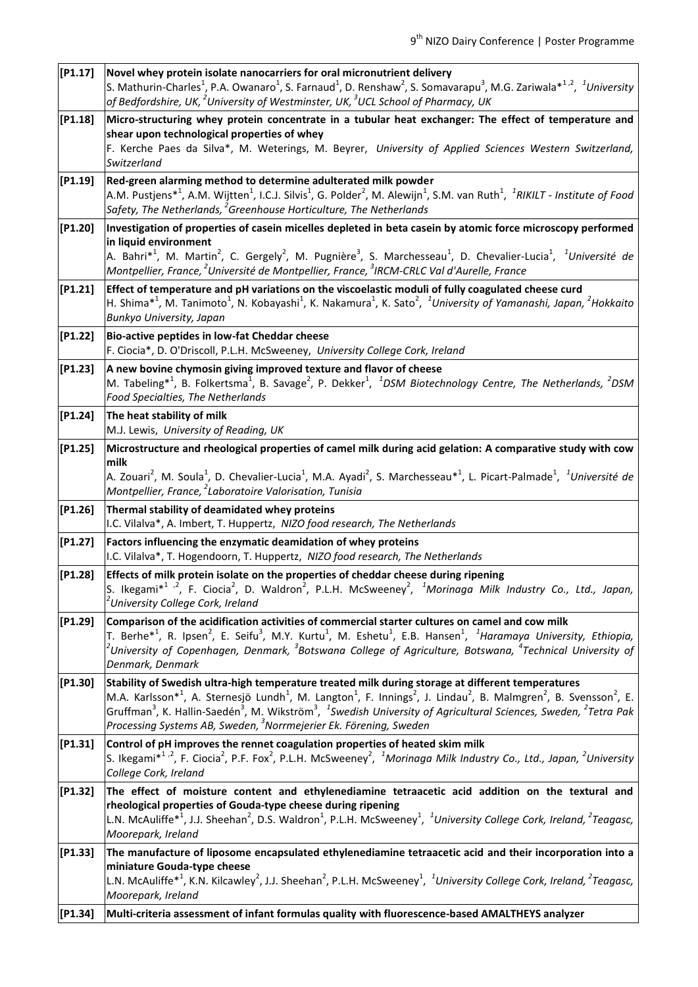| [P1.17] | Novel whey protein isolate nanocarriers for oral micronutrient delivery<br>S. Mathurin-Charles <sup>1</sup> , P.A. Owanaro <sup>1</sup> , S. Farnaud <sup>1</sup> , D. Renshaw <sup>2</sup> , S. Somavarapu <sup>3</sup> , M.G. Zariwala* <sup>1,2</sup> , <sup>1</sup> University<br>of Bedfordshire, UK, $^2$ University of Westminster, UK, $^3$ UCL School of Pharmacy, UK                                                                                                                                                                                             |
|---------|----------------------------------------------------------------------------------------------------------------------------------------------------------------------------------------------------------------------------------------------------------------------------------------------------------------------------------------------------------------------------------------------------------------------------------------------------------------------------------------------------------------------------------------------------------------------------|
| [P1.18] | Micro-structuring whey protein concentrate in a tubular heat exchanger: The effect of temperature and<br>shear upon technological properties of whey<br>F. Kerche Paes da Silva*, M. Weterings, M. Beyrer, University of Applied Sciences Western Switzerland,<br>Switzerland                                                                                                                                                                                                                                                                                              |
| [P1.19] | Red-green alarming method to determine adulterated milk powder<br>A.M. Pustjens <sup>*1</sup> , A.M. Wijtten <sup>1</sup> , I.C.J. Silvis <sup>1</sup> , G. Polder <sup>2</sup> , M. Alewijn <sup>1</sup> , S.M. van Ruth <sup>1</sup> , <sup>1</sup> RIKILT - Institute of Food<br>Safety, The Netherlands, $^2$ Greenhouse Horticulture, The Netherlands                                                                                                                                                                                                                 |
| [P1.20] | Investigation of properties of casein micelles depleted in beta casein by atomic force microscopy performed<br>in liquid environment<br>A. Bahri $*^1$ , M. Martin <sup>2</sup> , C. Gergely <sup>2</sup> , M. Pugnière <sup>3</sup> , S. Marchesseau <sup>1</sup> , D. Chevalier-Lucia <sup>1</sup> , <sup>1</sup> Université de<br>Montpellier, France, <sup>2</sup> Université de Montpellier, France, <sup>3</sup> IRCM-CRLC Val d'Aurelle, France                                                                                                                     |
| [P1.21] | Effect of temperature and pH variations on the viscoelastic moduli of fully coagulated cheese curd<br>H. Shima* <sup>1</sup> , M. Tanimoto <sup>1</sup> , N. Kobayashi <sup>1</sup> , K. Nakamura <sup>1</sup> , K. Sato <sup>2</sup> , <sup>1</sup> University of Yamanashi, Japan, <sup>2</sup> Hokkaito<br>Bunkyo University, Japan                                                                                                                                                                                                                                     |
| [P1.22] | Bio-active peptides in low-fat Cheddar cheese<br>F. Ciocia*, D. O'Driscoll, P.L.H. McSweeney, University College Cork, Ireland                                                                                                                                                                                                                                                                                                                                                                                                                                             |
| [P1.23] | A new bovine chymosin giving improved texture and flavor of cheese<br>M. Tabeling <sup>*1</sup> , B. Folkertsma <sup>1</sup> , B. Savage <sup>2</sup> , P. Dekker <sup>1</sup> , <sup>1</sup> DSM Biotechnology Centre, The Netherlands, <sup>2</sup> DSM<br>Food Specialties, The Netherlands                                                                                                                                                                                                                                                                             |
| [P1.24] | The heat stability of milk<br>M.J. Lewis, University of Reading, UK                                                                                                                                                                                                                                                                                                                                                                                                                                                                                                        |
| [P1.25] | Microstructure and rheological properties of camel milk during acid gelation: A comparative study with cow<br>milk<br>A. Zouari <sup>2</sup> , M. Soula <sup>1</sup> , D. Chevalier-Lucia <sup>1</sup> , M.A. Ayadi <sup>2</sup> , S. Marchesseau* <sup>1</sup> , L. Picart-Palmade <sup>1</sup> , <sup>1</sup> Université de<br>Montpellier, France, <sup>2</sup> Laboratoire Valorisation, Tunisia                                                                                                                                                                       |
| [P1.26] | Thermal stability of deamidated whey proteins<br>I.C. Vilalva*, A. Imbert, T. Huppertz, NIZO food research, The Netherlands                                                                                                                                                                                                                                                                                                                                                                                                                                                |
| [P1.27] | Factors influencing the enzymatic deamidation of whey proteins<br>I.C. Vilalva*, T. Hogendoorn, T. Huppertz, NIZO food research, The Netherlands                                                                                                                                                                                                                                                                                                                                                                                                                           |
| [P1.28] | Effects of milk protein isolate on the properties of cheddar cheese during ripening<br>S. Ikegami* <sup>1</sup> <sup>2</sup> , F. Ciocia <sup>2</sup> , D. Waldron <sup>2</sup> , P.L.H. McSweeney <sup>2</sup> , <sup>1</sup> Morinaga Milk Industry Co., Ltd., Japan,<br><sup>2</sup> University College Cork, Ireland                                                                                                                                                                                                                                                   |
| [P1.29] | Comparison of the acidification activities of commercial starter cultures on camel and cow milk<br>T. Berhe <sup>*1</sup> , R. Ipsen <sup>2</sup> , E. Seifu <sup>3</sup> , M.Y. Kurtu <sup>1</sup> , M. Eshetu <sup>1</sup> , E.B. Hansen <sup>1</sup> , <sup>1</sup> Haramaya University, Ethiopia,<br>$^2$ University of Copenhagen, Denmark, $^3$ Botswana College of Agriculture, Botswana, $^4$ Technical University of $\overline{ }$<br>Denmark, Denmark                                                                                                           |
| [P1.30] | Stability of Swedish ultra-high temperature treated milk during storage at different temperatures<br>M.A. Karlsson <sup>*1</sup> , A. Sternesjö Lundh <sup>1</sup> , M. Langton <sup>1</sup> , F. Innings <sup>2</sup> , J. Lindau <sup>2</sup> , B. Malmgren <sup>2</sup> , B. Svensson <sup>2</sup> , E.<br>Gruffman <sup>3</sup> , K. Hallin-Saedén <sup>3</sup> , M. Wikström <sup>3</sup> , <sup>1</sup> Swedish University of Agricultural Sciences, Sweden, <sup>2</sup> Tetra Pak<br>Processing Systems AB, Sweden, <sup>3</sup> Norrmejerier Ek. Förening, Sweden |
| [P1.31] | Control of pH improves the rennet coagulation properties of heated skim milk<br>S. Ikegami $*^{1,2}$ , F. Ciocia <sup>2</sup> , P.F. Fox <sup>2</sup> , P.L.H. McSweeney <sup>2</sup> , <sup>1</sup> Morinaga Milk Industry Co., Ltd., Japan, <sup>2</sup> University<br>College Cork, Ireland                                                                                                                                                                                                                                                                             |
| [P1.32] | The effect of moisture content and ethylenediamine tetraacetic acid addition on the textural and<br>rheological properties of Gouda-type cheese during ripening<br>L.N. McAuliffe <sup>*1</sup> , J.J. Sheehan <sup>2</sup> , D.S. Waldron <sup>1</sup> , P.L.H. McSweeney <sup>1</sup> , <sup>1</sup> University College Cork, Ireland, <sup>2</sup> Teagasc,<br>Moorepark, Ireland                                                                                                                                                                                       |
| [P1.33] | The manufacture of liposome encapsulated ethylenediamine tetraacetic acid and their incorporation into a<br>miniature Gouda-type cheese                                                                                                                                                                                                                                                                                                                                                                                                                                    |
|         | L.N. McAuliffe <sup>*1</sup> , K.N. Kilcawley <sup>2</sup> , J.J. Sheehan <sup>2</sup> , P.L.H. McSweeney <sup>1</sup> , <sup>1</sup> University College Cork, Ireland, <sup>2</sup> Teagasc,<br>Moorepark, Ireland                                                                                                                                                                                                                                                                                                                                                        |
| [P1.34] | Multi-criteria assessment of infant formulas quality with fluorescence-based AMALTHEYS analyzer                                                                                                                                                                                                                                                                                                                                                                                                                                                                            |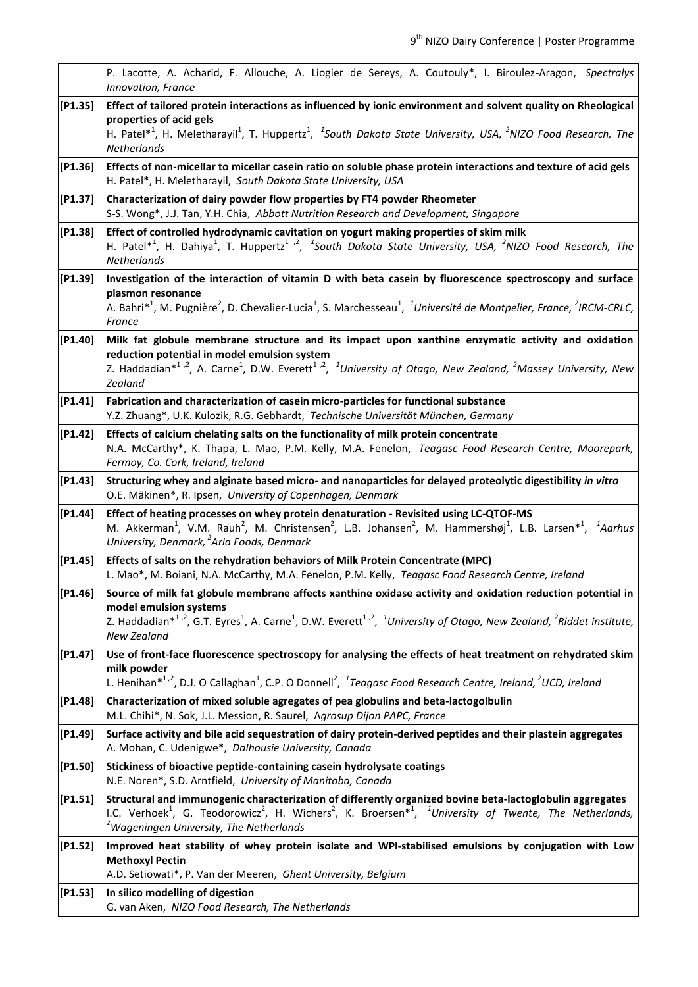|            | P. Lacotte, A. Acharid, F. Allouche, A. Liogier de Sereys, A. Coutouly*, I. Biroulez-Aragon, Spectralys<br>Innovation, France                                                                                                                                                                                                                       |
|------------|-----------------------------------------------------------------------------------------------------------------------------------------------------------------------------------------------------------------------------------------------------------------------------------------------------------------------------------------------------|
| $[$ P1.35] | Effect of tailored protein interactions as influenced by ionic environment and solvent quality on Rheological<br>properties of acid gels<br>H. Patel* <sup>1</sup> , H. Meletharayil <sup>1</sup> , T. Huppertz <sup>1</sup> , <sup>1</sup> South Dakota State University, USA, <sup>2</sup> NIZO Food Research, The<br>Netherlands                 |
| $[$ P1.36] | Effects of non-micellar to micellar casein ratio on soluble phase protein interactions and texture of acid gels<br>H. Patel*, H. Meletharayil, South Dakota State University, USA                                                                                                                                                                   |
| [P1.37]    | Characterization of dairy powder flow properties by FT4 powder Rheometer<br>S-S. Wong*, J.J. Tan, Y.H. Chia, Abbott Nutrition Research and Development, Singapore                                                                                                                                                                                   |
| $[$ P1.38] | Effect of controlled hydrodynamic cavitation on yogurt making properties of skim milk<br>H. Patel* <sup>1</sup> , H. Dahiya <sup>1</sup> , T. Huppertz <sup>1,2</sup> , <sup>1</sup> South Dakota State University, USA, <sup>2</sup> NIZO Food Research, The<br>Netherlands                                                                        |
| [P1.39]    | Investigation of the interaction of vitamin D with beta casein by fluorescence spectroscopy and surface<br>plasmon resonance<br>A. Bahri* <sup>1</sup> , M. Pugnière <sup>2</sup> , D. Chevalier-Lucia <sup>1</sup> , S. Marchesseau <sup>1</sup> , <sup>1</sup> Université de Montpelier, France, <sup>2</sup> IRCM-CRLC,<br>France                |
| [P1.40]    | Milk fat globule membrane structure and its impact upon xanthine enzymatic activity and oxidation<br>reduction potential in model emulsion system<br>Z. Haddadian* <sup>1,2</sup> , A. Carne <sup>1</sup> , D.W. Everett <sup>1,2</sup> , <sup>1</sup> University of Otago, New Zealand, <sup>2</sup> Massey University, New<br>Zealand             |
| [P1.41]    | Fabrication and characterization of casein micro-particles for functional substance<br>Y.Z. Zhuang*, U.K. Kulozik, R.G. Gebhardt, Technische Universität München, Germany                                                                                                                                                                           |
| $[P1.42]$  | Effects of calcium chelating salts on the functionality of milk protein concentrate<br>N.A. McCarthy*, K. Thapa, L. Mao, P.M. Kelly, M.A. Fenelon, Teagasc Food Research Centre, Moorepark,<br>Fermoy, Co. Cork, Ireland, Ireland                                                                                                                   |
| [P1.43]    | Structuring whey and alginate based micro- and nanoparticles for delayed proteolytic digestibility in vitro<br>O.E. Mäkinen*, R. Ipsen, University of Copenhagen, Denmark                                                                                                                                                                           |
| [P1.44]    | Effect of heating processes on whey protein denaturation - Revisited using LC-QTOF-MS<br>M. Akkerman <sup>1</sup> , V.M. Rauh <sup>2</sup> , M. Christensen <sup>2</sup> , L.B. Johansen <sup>2</sup> , M. Hammershøj <sup>1</sup> , L.B. Larsen <sup>*1</sup> , <sup>1</sup> Aarhus<br>University, Denmark, <sup>2</sup> Arla Foods, Denmark       |
| $[$ P1.45] | Effects of salts on the rehydration behaviors of Milk Protein Concentrate (MPC)<br>L. Mao*, M. Boiani, N.A. McCarthy, M.A. Fenelon, P.M. Kelly, Teagasc Food Research Centre, Ireland                                                                                                                                                               |
| [P1.46]    | Source of milk fat globule membrane affects xanthine oxidase activity and oxidation reduction potential in<br>model emulsion systems<br>Z. Haddadian* <sup>1,2</sup> , G.T. Eyres <sup>1</sup> , A. Carne <sup>1</sup> , D.W. Everett <sup>1,2</sup> , <sup>1</sup> University of Otago, New Zealand, <sup>2</sup> Riddet institute,<br>New Zealand |
| $[P1.47]$  | Use of front-face fluorescence spectroscopy for analysing the effects of heat treatment on rehydrated skim<br>milk powder<br>L. Henihan <sup>*1,2</sup> , D.J. O Callaghan <sup>1</sup> , C.P. O Donnell <sup>2</sup> , <sup>1</sup> Teagasc Food Research Centre, Ireland, <sup>2</sup> UCD, Ireland                                               |
| $[$ P1.48] | Characterization of mixed soluble agregates of pea globulins and beta-lactogolbulin<br>M.L. Chihi*, N. Sok, J.L. Mession, R. Saurel, Agrosup Dijon PAPC, France                                                                                                                                                                                     |
| [P1.49]    | Surface activity and bile acid sequestration of dairy protein-derived peptides and their plastein aggregates<br>A. Mohan, C. Udenigwe*, Dalhousie University, Canada                                                                                                                                                                                |
| [P1.50]    | Stickiness of bioactive peptide-containing casein hydrolysate coatings<br>N.E. Noren*, S.D. Arntfield, University of Manitoba, Canada                                                                                                                                                                                                               |
| $[$ P1.51] | Structural and immunogenic characterization of differently organized bovine beta-lactoglobulin aggregates<br>I.C. Verhoek <sup>1</sup> , G. Teodorowicz <sup>2</sup> , H. Wichers <sup>2</sup> , K. Broersen <sup>*1</sup> , <sup>1</sup> University of Twente, The Netherlands,<br><sup>2</sup> Wageningen University, The Netherlands             |
| [P1.52]    | Improved heat stability of whey protein isolate and WPI-stabilised emulsions by conjugation with Low<br><b>Methoxyl Pectin</b><br>A.D. Setiowati*, P. Van der Meeren, Ghent University, Belgium                                                                                                                                                     |
| $[$ P1.53] | In silico modelling of digestion<br>G. van Aken, NIZO Food Research, The Netherlands                                                                                                                                                                                                                                                                |